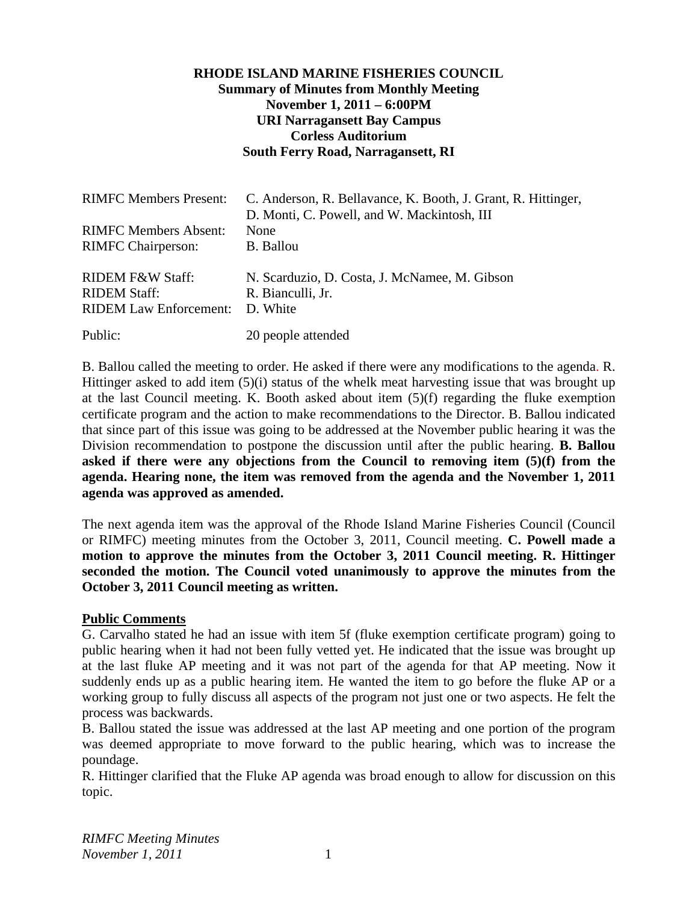# **RHODE ISLAND MARINE FISHERIES COUNCIL Summary of Minutes from Monthly Meeting November 1, 2011 – 6:00PM URI Narragansett Bay Campus Corless Auditorium South Ferry Road, Narragansett, RI**

| <b>RIMFC Members Present:</b>                                            | C. Anderson, R. Bellavance, K. Booth, J. Grant, R. Hittinger,<br>D. Monti, C. Powell, and W. Mackintosh, III |
|--------------------------------------------------------------------------|--------------------------------------------------------------------------------------------------------------|
| <b>RIMFC Members Absent:</b>                                             | None                                                                                                         |
| <b>RIMFC</b> Chairperson:                                                | B. Ballou                                                                                                    |
| RIDEM F&W Staff:<br><b>RIDEM Staff:</b><br><b>RIDEM Law Enforcement:</b> | N. Scarduzio, D. Costa, J. McNamee, M. Gibson<br>R. Bianculli, Jr.<br>D. White                               |
| Public:                                                                  | 20 people attended                                                                                           |

B. Ballou called the meeting to order. He asked if there were any modifications to the agenda. R. Hittinger asked to add item (5)(i) status of the whelk meat harvesting issue that was brought up at the last Council meeting. K. Booth asked about item (5)(f) regarding the fluke exemption certificate program and the action to make recommendations to the Director. B. Ballou indicated that since part of this issue was going to be addressed at the November public hearing it was the Division recommendation to postpone the discussion until after the public hearing. **B. Ballou asked if there were any objections from the Council to removing item (5)(f) from the agenda. Hearing none, the item was removed from the agenda and the November 1, 2011 agenda was approved as amended.** 

The next agenda item was the approval of the Rhode Island Marine Fisheries Council (Council or RIMFC) meeting minutes from the October 3, 2011, Council meeting. **C. Powell made a motion to approve the minutes from the October 3, 2011 Council meeting. R. Hittinger seconded the motion. The Council voted unanimously to approve the minutes from the October 3, 2011 Council meeting as written.** 

#### **Public Comments**

G. Carvalho stated he had an issue with item 5f (fluke exemption certificate program) going to public hearing when it had not been fully vetted yet. He indicated that the issue was brought up at the last fluke AP meeting and it was not part of the agenda for that AP meeting. Now it suddenly ends up as a public hearing item. He wanted the item to go before the fluke AP or a working group to fully discuss all aspects of the program not just one or two aspects. He felt the process was backwards.

B. Ballou stated the issue was addressed at the last AP meeting and one portion of the program was deemed appropriate to move forward to the public hearing, which was to increase the poundage.

R. Hittinger clarified that the Fluke AP agenda was broad enough to allow for discussion on this topic.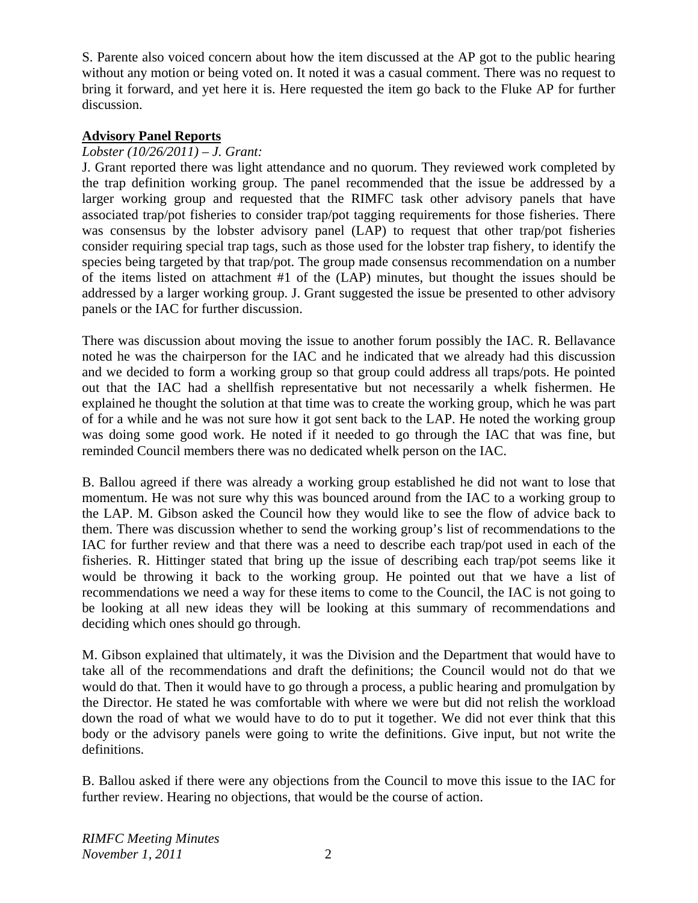S. Parente also voiced concern about how the item discussed at the AP got to the public hearing without any motion or being voted on. It noted it was a casual comment. There was no request to bring it forward, and yet here it is. Here requested the item go back to the Fluke AP for further discussion.

# **Advisory Panel Reports**

# *Lobster (10/26/2011) – J. Grant:*

J. Grant reported there was light attendance and no quorum. They reviewed work completed by the trap definition working group. The panel recommended that the issue be addressed by a larger working group and requested that the RIMFC task other advisory panels that have associated trap/pot fisheries to consider trap/pot tagging requirements for those fisheries. There was consensus by the lobster advisory panel (LAP) to request that other trap/pot fisheries consider requiring special trap tags, such as those used for the lobster trap fishery, to identify the species being targeted by that trap/pot. The group made consensus recommendation on a number of the items listed on attachment #1 of the (LAP) minutes, but thought the issues should be addressed by a larger working group. J. Grant suggested the issue be presented to other advisory panels or the IAC for further discussion.

There was discussion about moving the issue to another forum possibly the IAC. R. Bellavance noted he was the chairperson for the IAC and he indicated that we already had this discussion and we decided to form a working group so that group could address all traps/pots. He pointed out that the IAC had a shellfish representative but not necessarily a whelk fishermen. He explained he thought the solution at that time was to create the working group, which he was part of for a while and he was not sure how it got sent back to the LAP. He noted the working group was doing some good work. He noted if it needed to go through the IAC that was fine, but reminded Council members there was no dedicated whelk person on the IAC.

B. Ballou agreed if there was already a working group established he did not want to lose that momentum. He was not sure why this was bounced around from the IAC to a working group to the LAP. M. Gibson asked the Council how they would like to see the flow of advice back to them. There was discussion whether to send the working group's list of recommendations to the IAC for further review and that there was a need to describe each trap/pot used in each of the fisheries. R. Hittinger stated that bring up the issue of describing each trap/pot seems like it would be throwing it back to the working group. He pointed out that we have a list of recommendations we need a way for these items to come to the Council, the IAC is not going to be looking at all new ideas they will be looking at this summary of recommendations and deciding which ones should go through.

M. Gibson explained that ultimately, it was the Division and the Department that would have to take all of the recommendations and draft the definitions; the Council would not do that we would do that. Then it would have to go through a process, a public hearing and promulgation by the Director. He stated he was comfortable with where we were but did not relish the workload down the road of what we would have to do to put it together. We did not ever think that this body or the advisory panels were going to write the definitions. Give input, but not write the definitions.

B. Ballou asked if there were any objections from the Council to move this issue to the IAC for further review. Hearing no objections, that would be the course of action.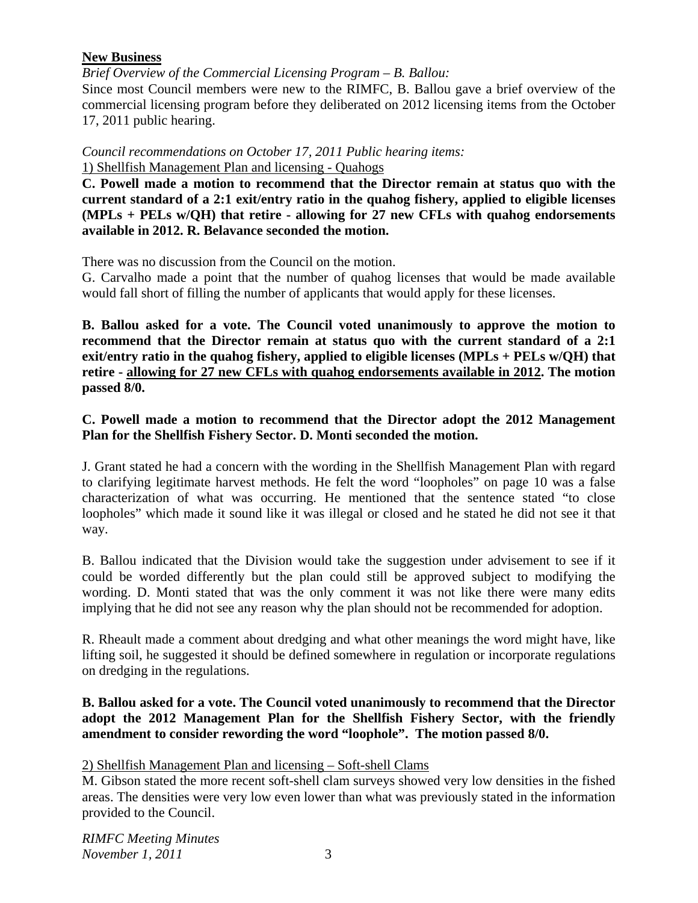# **New Business**

*Brief Overview of the Commercial Licensing Program – B. Ballou:* 

Since most Council members were new to the RIMFC, B. Ballou gave a brief overview of the commercial licensing program before they deliberated on 2012 licensing items from the October 17, 2011 public hearing.

*Council recommendations on October 17, 2011 Public hearing items:*  1) Shellfish Management Plan and licensing - Quahogs

**C. Powell made a motion to recommend that the Director remain at status quo with the current standard of a 2:1 exit/entry ratio in the quahog fishery, applied to eligible licenses (MPLs + PELs w/QH) that retire - allowing for 27 new CFLs with quahog endorsements available in 2012. R. Belavance seconded the motion.**

There was no discussion from the Council on the motion.

G. Carvalho made a point that the number of quahog licenses that would be made available would fall short of filling the number of applicants that would apply for these licenses.

**B. Ballou asked for a vote. The Council voted unanimously to approve the motion to recommend that the Director remain at status quo with the current standard of a 2:1 exit/entry ratio in the quahog fishery, applied to eligible licenses (MPLs + PELs w/QH) that retire - allowing for 27 new CFLs with quahog endorsements available in 2012. The motion passed 8/0.** 

# **C. Powell made a motion to recommend that the Director adopt the 2012 Management Plan for the Shellfish Fishery Sector. D. Monti seconded the motion.**

J. Grant stated he had a concern with the wording in the Shellfish Management Plan with regard to clarifying legitimate harvest methods. He felt the word "loopholes" on page 10 was a false characterization of what was occurring. He mentioned that the sentence stated "to close loopholes" which made it sound like it was illegal or closed and he stated he did not see it that way.

B. Ballou indicated that the Division would take the suggestion under advisement to see if it could be worded differently but the plan could still be approved subject to modifying the wording. D. Monti stated that was the only comment it was not like there were many edits implying that he did not see any reason why the plan should not be recommended for adoption.

R. Rheault made a comment about dredging and what other meanings the word might have, like lifting soil, he suggested it should be defined somewhere in regulation or incorporate regulations on dredging in the regulations.

### **B. Ballou asked for a vote. The Council voted unanimously to recommend that the Director adopt the 2012 Management Plan for the Shellfish Fishery Sector, with the friendly amendment to consider rewording the word "loophole". The motion passed 8/0.**

# 2) Shellfish Management Plan and licensing – Soft-shell Clams

M. Gibson stated the more recent soft-shell clam surveys showed very low densities in the fished areas. The densities were very low even lower than what was previously stated in the information provided to the Council.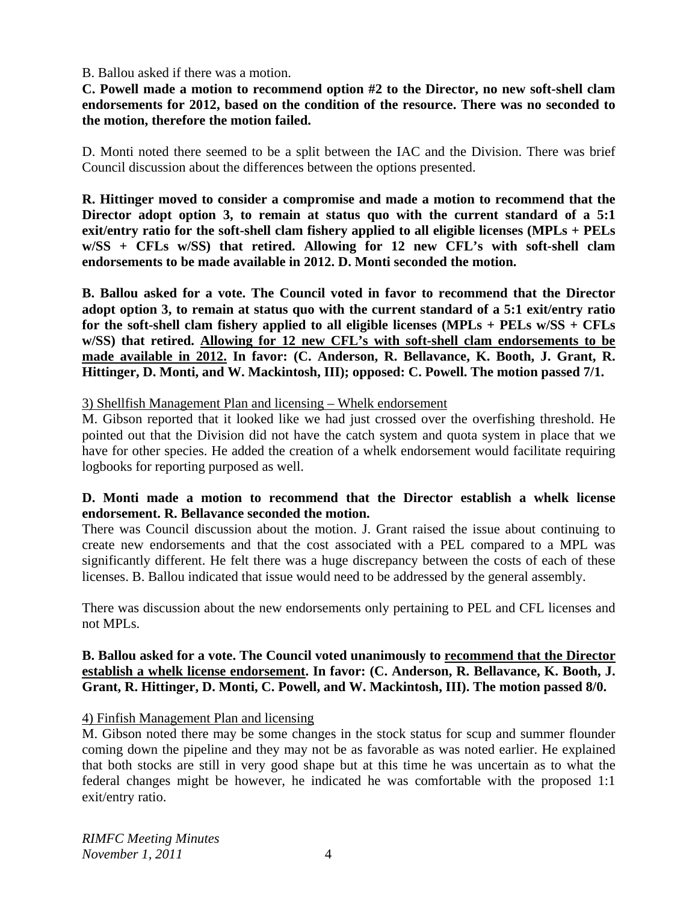#### B. Ballou asked if there was a motion.

**C. Powell made a motion to recommend option #2 to the Director, no new soft-shell clam endorsements for 2012, based on the condition of the resource. There was no seconded to the motion, therefore the motion failed.** 

D. Monti noted there seemed to be a split between the IAC and the Division. There was brief Council discussion about the differences between the options presented.

**R. Hittinger moved to consider a compromise and made a motion to recommend that the Director adopt option 3, to remain at status quo with the current standard of a 5:1 exit/entry ratio for the soft-shell clam fishery applied to all eligible licenses (MPLs + PELs w/SS + CFLs w/SS) that retired. Allowing for 12 new CFL's with soft-shell clam endorsements to be made available in 2012. D. Monti seconded the motion.** 

**B. Ballou asked for a vote. The Council voted in favor to recommend that the Director adopt option 3, to remain at status quo with the current standard of a 5:1 exit/entry ratio for the soft-shell clam fishery applied to all eligible licenses (MPLs + PELs w/SS + CFLs w/SS) that retired. Allowing for 12 new CFL's with soft-shell clam endorsements to be made available in 2012. In favor: (C. Anderson, R. Bellavance, K. Booth, J. Grant, R. Hittinger, D. Monti, and W. Mackintosh, III); opposed: C. Powell. The motion passed 7/1.** 

#### 3) Shellfish Management Plan and licensing – Whelk endorsement

M. Gibson reported that it looked like we had just crossed over the overfishing threshold. He pointed out that the Division did not have the catch system and quota system in place that we have for other species. He added the creation of a whelk endorsement would facilitate requiring logbooks for reporting purposed as well.

#### **D. Monti made a motion to recommend that the Director establish a whelk license endorsement. R. Bellavance seconded the motion.**

There was Council discussion about the motion. J. Grant raised the issue about continuing to create new endorsements and that the cost associated with a PEL compared to a MPL was significantly different. He felt there was a huge discrepancy between the costs of each of these licenses. B. Ballou indicated that issue would need to be addressed by the general assembly.

There was discussion about the new endorsements only pertaining to PEL and CFL licenses and not MPLs.

#### **B. Ballou asked for a vote. The Council voted unanimously to recommend that the Director establish a whelk license endorsement. In favor: (C. Anderson, R. Bellavance, K. Booth, J. Grant, R. Hittinger, D. Monti, C. Powell, and W. Mackintosh, III). The motion passed 8/0.**

#### 4) Finfish Management Plan and licensing

M. Gibson noted there may be some changes in the stock status for scup and summer flounder coming down the pipeline and they may not be as favorable as was noted earlier. He explained that both stocks are still in very good shape but at this time he was uncertain as to what the federal changes might be however, he indicated he was comfortable with the proposed 1:1 exit/entry ratio.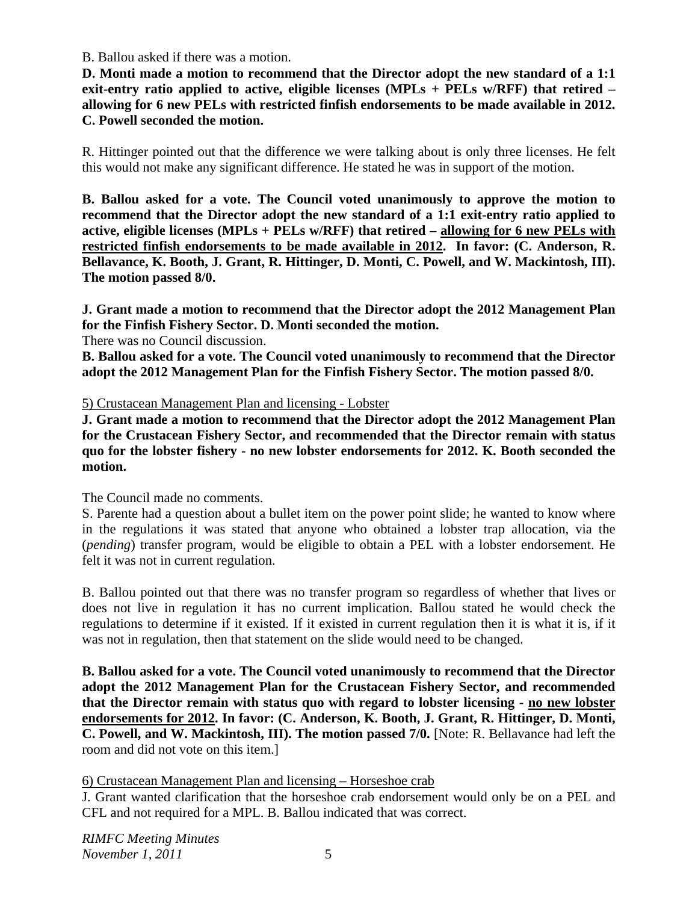#### B. Ballou asked if there was a motion.

**D. Monti made a motion to recommend that the Director adopt the new standard of a 1:1 exit-entry ratio applied to active, eligible licenses (MPLs + PELs w/RFF) that retired – allowing for 6 new PELs with restricted finfish endorsements to be made available in 2012. C. Powell seconded the motion.** 

R. Hittinger pointed out that the difference we were talking about is only three licenses. He felt this would not make any significant difference. He stated he was in support of the motion.

**B. Ballou asked for a vote. The Council voted unanimously to approve the motion to recommend that the Director adopt the new standard of a 1:1 exit-entry ratio applied to active, eligible licenses (MPLs + PELs w/RFF) that retired – allowing for 6 new PELs with restricted finfish endorsements to be made available in 2012. In favor: (C. Anderson, R. Bellavance, K. Booth, J. Grant, R. Hittinger, D. Monti, C. Powell, and W. Mackintosh, III). The motion passed 8/0.** 

**J. Grant made a motion to recommend that the Director adopt the 2012 Management Plan for the Finfish Fishery Sector. D. Monti seconded the motion.** 

There was no Council discussion.

**B. Ballou asked for a vote. The Council voted unanimously to recommend that the Director adopt the 2012 Management Plan for the Finfish Fishery Sector. The motion passed 8/0.** 

#### 5) Crustacean Management Plan and licensing - Lobster

**J. Grant made a motion to recommend that the Director adopt the 2012 Management Plan for the Crustacean Fishery Sector, and recommended that the Director remain with status quo for the lobster fishery - no new lobster endorsements for 2012. K. Booth seconded the motion.** 

The Council made no comments.

S. Parente had a question about a bullet item on the power point slide; he wanted to know where in the regulations it was stated that anyone who obtained a lobster trap allocation, via the (*pending*) transfer program, would be eligible to obtain a PEL with a lobster endorsement. He felt it was not in current regulation.

B. Ballou pointed out that there was no transfer program so regardless of whether that lives or does not live in regulation it has no current implication. Ballou stated he would check the regulations to determine if it existed. If it existed in current regulation then it is what it is, if it was not in regulation, then that statement on the slide would need to be changed.

**B. Ballou asked for a vote. The Council voted unanimously to recommend that the Director adopt the 2012 Management Plan for the Crustacean Fishery Sector, and recommended that the Director remain with status quo with regard to lobster licensing - no new lobster endorsements for 2012. In favor: (C. Anderson, K. Booth, J. Grant, R. Hittinger, D. Monti, C. Powell, and W. Mackintosh, III). The motion passed 7/0.** [Note: R. Bellavance had left the room and did not vote on this item.]

6) Crustacean Management Plan and licensing – Horseshoe crab

J. Grant wanted clarification that the horseshoe crab endorsement would only be on a PEL and CFL and not required for a MPL. B. Ballou indicated that was correct.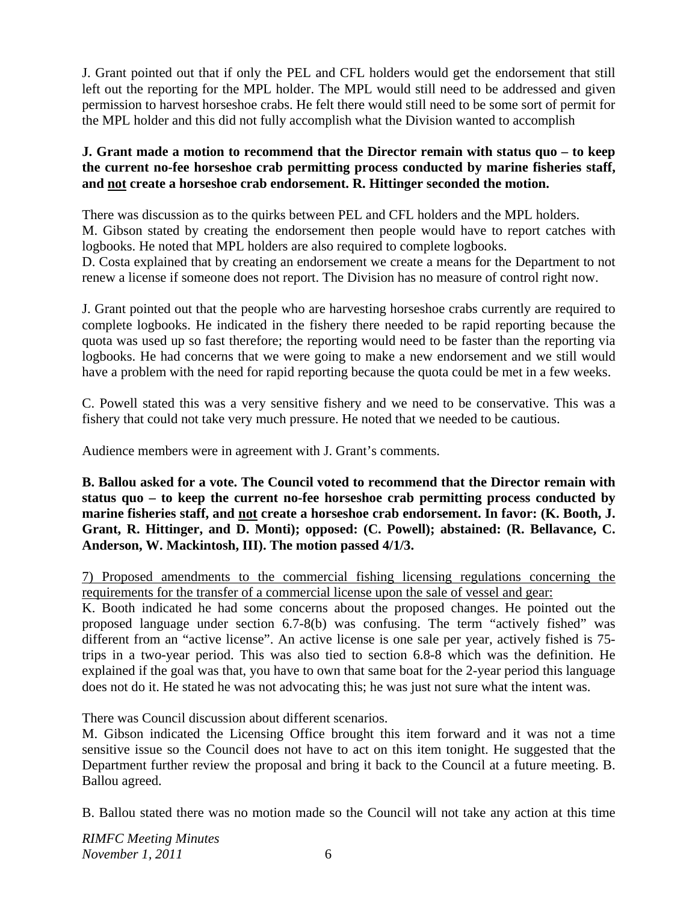J. Grant pointed out that if only the PEL and CFL holders would get the endorsement that still left out the reporting for the MPL holder. The MPL would still need to be addressed and given permission to harvest horseshoe crabs. He felt there would still need to be some sort of permit for the MPL holder and this did not fully accomplish what the Division wanted to accomplish

# **J. Grant made a motion to recommend that the Director remain with status quo – to keep the current no-fee horseshoe crab permitting process conducted by marine fisheries staff, and not create a horseshoe crab endorsement. R. Hittinger seconded the motion.**

There was discussion as to the quirks between PEL and CFL holders and the MPL holders. M. Gibson stated by creating the endorsement then people would have to report catches with logbooks. He noted that MPL holders are also required to complete logbooks.

D. Costa explained that by creating an endorsement we create a means for the Department to not renew a license if someone does not report. The Division has no measure of control right now.

J. Grant pointed out that the people who are harvesting horseshoe crabs currently are required to complete logbooks. He indicated in the fishery there needed to be rapid reporting because the quota was used up so fast therefore; the reporting would need to be faster than the reporting via logbooks. He had concerns that we were going to make a new endorsement and we still would have a problem with the need for rapid reporting because the quota could be met in a few weeks.

C. Powell stated this was a very sensitive fishery and we need to be conservative. This was a fishery that could not take very much pressure. He noted that we needed to be cautious.

Audience members were in agreement with J. Grant's comments.

**B. Ballou asked for a vote. The Council voted to recommend that the Director remain with status quo – to keep the current no-fee horseshoe crab permitting process conducted by marine fisheries staff, and not create a horseshoe crab endorsement. In favor: (K. Booth, J. Grant, R. Hittinger, and D. Monti); opposed: (C. Powell); abstained: (R. Bellavance, C. Anderson, W. Mackintosh, III). The motion passed 4/1/3.** 

7) Proposed amendments to the commercial fishing licensing regulations concerning the requirements for the transfer of a commercial license upon the sale of vessel and gear:

K. Booth indicated he had some concerns about the proposed changes. He pointed out the proposed language under section 6.7-8(b) was confusing. The term "actively fished" was different from an "active license". An active license is one sale per year, actively fished is 75 trips in a two-year period. This was also tied to section 6.8-8 which was the definition. He explained if the goal was that, you have to own that same boat for the 2-year period this language does not do it. He stated he was not advocating this; he was just not sure what the intent was.

There was Council discussion about different scenarios.

M. Gibson indicated the Licensing Office brought this item forward and it was not a time sensitive issue so the Council does not have to act on this item tonight. He suggested that the Department further review the proposal and bring it back to the Council at a future meeting. B. Ballou agreed.

B. Ballou stated there was no motion made so the Council will not take any action at this time

*RIMFC Meeting Minutes November 1, 2011* 6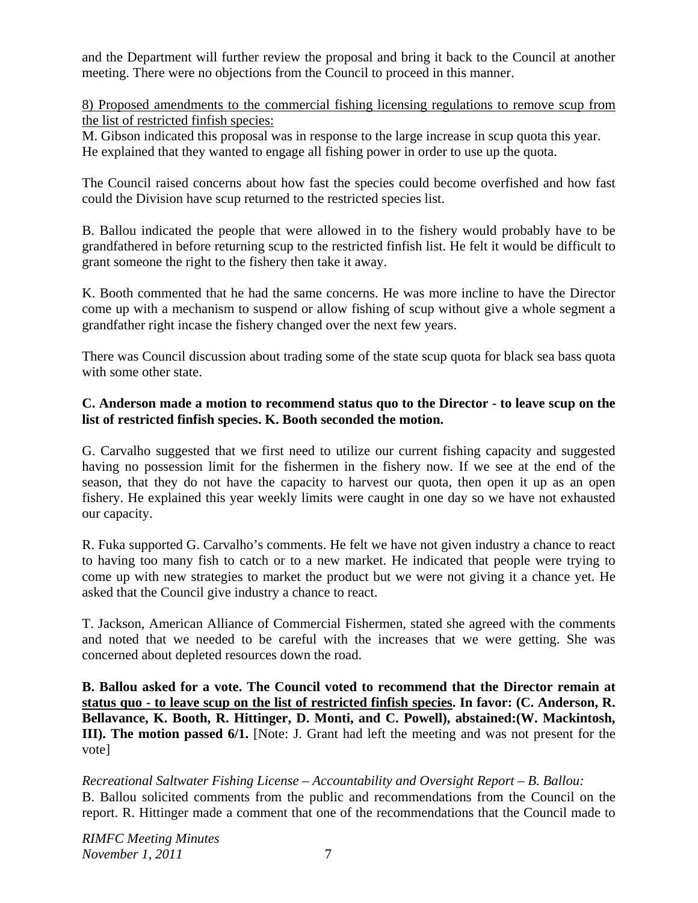and the Department will further review the proposal and bring it back to the Council at another meeting. There were no objections from the Council to proceed in this manner.

8) Proposed amendments to the commercial fishing licensing regulations to remove scup from the list of restricted finfish species:

M. Gibson indicated this proposal was in response to the large increase in scup quota this year. He explained that they wanted to engage all fishing power in order to use up the quota.

The Council raised concerns about how fast the species could become overfished and how fast could the Division have scup returned to the restricted species list.

B. Ballou indicated the people that were allowed in to the fishery would probably have to be grandfathered in before returning scup to the restricted finfish list. He felt it would be difficult to grant someone the right to the fishery then take it away.

K. Booth commented that he had the same concerns. He was more incline to have the Director come up with a mechanism to suspend or allow fishing of scup without give a whole segment a grandfather right incase the fishery changed over the next few years.

There was Council discussion about trading some of the state scup quota for black sea bass quota with some other state.

# **C. Anderson made a motion to recommend status quo to the Director - to leave scup on the list of restricted finfish species. K. Booth seconded the motion.**

G. Carvalho suggested that we first need to utilize our current fishing capacity and suggested having no possession limit for the fishermen in the fishery now. If we see at the end of the season, that they do not have the capacity to harvest our quota, then open it up as an open fishery. He explained this year weekly limits were caught in one day so we have not exhausted our capacity.

R. Fuka supported G. Carvalho's comments. He felt we have not given industry a chance to react to having too many fish to catch or to a new market. He indicated that people were trying to come up with new strategies to market the product but we were not giving it a chance yet. He asked that the Council give industry a chance to react.

T. Jackson, American Alliance of Commercial Fishermen, stated she agreed with the comments and noted that we needed to be careful with the increases that we were getting. She was concerned about depleted resources down the road.

**B. Ballou asked for a vote. The Council voted to recommend that the Director remain at status quo - to leave scup on the list of restricted finfish species. In favor: (C. Anderson, R. Bellavance, K. Booth, R. Hittinger, D. Monti, and C. Powell), abstained:(W. Mackintosh, III). The motion passed 6/1.** [Note: J. Grant had left the meeting and was not present for the vote]

*Recreational Saltwater Fishing License – Accountability and Oversight Report – B. Ballou:*  B. Ballou solicited comments from the public and recommendations from the Council on the report. R. Hittinger made a comment that one of the recommendations that the Council made to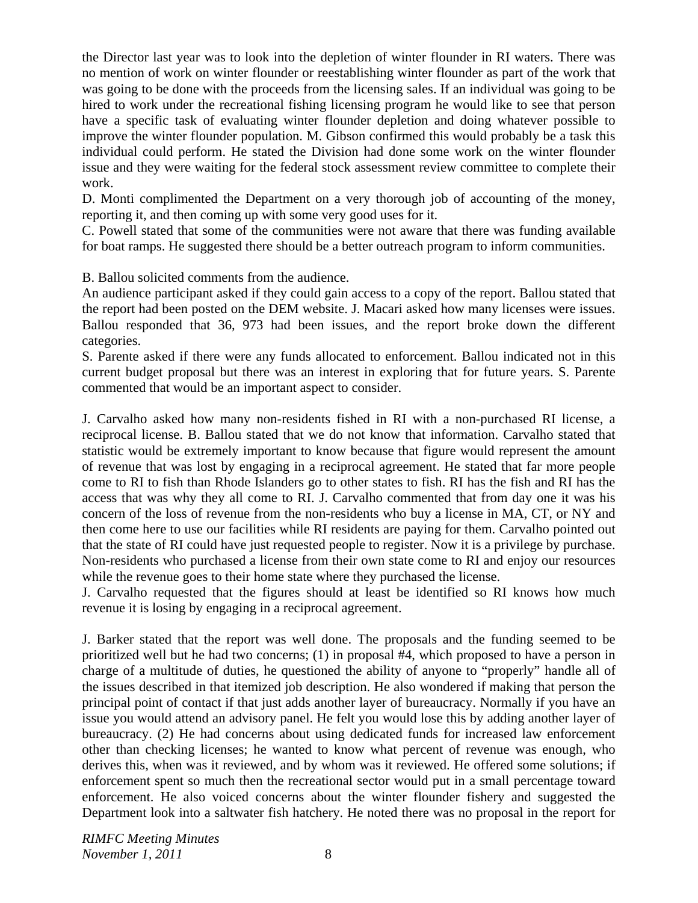the Director last year was to look into the depletion of winter flounder in RI waters. There was no mention of work on winter flounder or reestablishing winter flounder as part of the work that was going to be done with the proceeds from the licensing sales. If an individual was going to be hired to work under the recreational fishing licensing program he would like to see that person have a specific task of evaluating winter flounder depletion and doing whatever possible to improve the winter flounder population. M. Gibson confirmed this would probably be a task this individual could perform. He stated the Division had done some work on the winter flounder issue and they were waiting for the federal stock assessment review committee to complete their work.

D. Monti complimented the Department on a very thorough job of accounting of the money, reporting it, and then coming up with some very good uses for it.

C. Powell stated that some of the communities were not aware that there was funding available for boat ramps. He suggested there should be a better outreach program to inform communities.

B. Ballou solicited comments from the audience.

An audience participant asked if they could gain access to a copy of the report. Ballou stated that the report had been posted on the DEM website. J. Macari asked how many licenses were issues. Ballou responded that 36, 973 had been issues, and the report broke down the different categories.

S. Parente asked if there were any funds allocated to enforcement. Ballou indicated not in this current budget proposal but there was an interest in exploring that for future years. S. Parente commented that would be an important aspect to consider.

J. Carvalho asked how many non-residents fished in RI with a non-purchased RI license, a reciprocal license. B. Ballou stated that we do not know that information. Carvalho stated that statistic would be extremely important to know because that figure would represent the amount of revenue that was lost by engaging in a reciprocal agreement. He stated that far more people come to RI to fish than Rhode Islanders go to other states to fish. RI has the fish and RI has the access that was why they all come to RI. J. Carvalho commented that from day one it was his concern of the loss of revenue from the non-residents who buy a license in MA, CT, or NY and then come here to use our facilities while RI residents are paying for them. Carvalho pointed out that the state of RI could have just requested people to register. Now it is a privilege by purchase. Non-residents who purchased a license from their own state come to RI and enjoy our resources while the revenue goes to their home state where they purchased the license.

J. Carvalho requested that the figures should at least be identified so RI knows how much revenue it is losing by engaging in a reciprocal agreement.

J. Barker stated that the report was well done. The proposals and the funding seemed to be prioritized well but he had two concerns; (1) in proposal #4, which proposed to have a person in charge of a multitude of duties, he questioned the ability of anyone to "properly" handle all of the issues described in that itemized job description. He also wondered if making that person the principal point of contact if that just adds another layer of bureaucracy. Normally if you have an issue you would attend an advisory panel. He felt you would lose this by adding another layer of bureaucracy. (2) He had concerns about using dedicated funds for increased law enforcement other than checking licenses; he wanted to know what percent of revenue was enough, who derives this, when was it reviewed, and by whom was it reviewed. He offered some solutions; if enforcement spent so much then the recreational sector would put in a small percentage toward enforcement. He also voiced concerns about the winter flounder fishery and suggested the Department look into a saltwater fish hatchery. He noted there was no proposal in the report for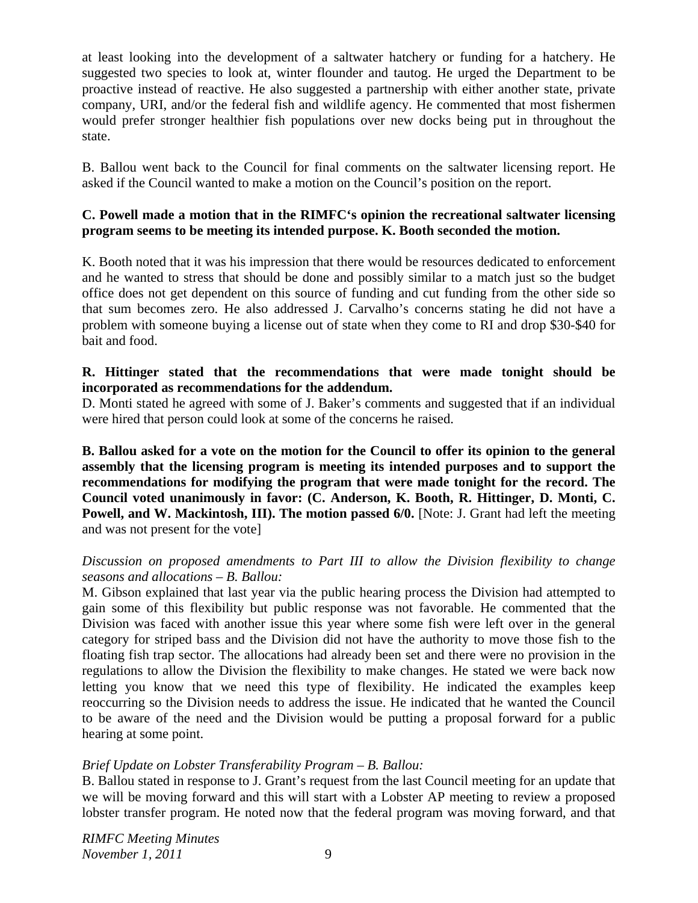at least looking into the development of a saltwater hatchery or funding for a hatchery. He suggested two species to look at, winter flounder and tautog. He urged the Department to be proactive instead of reactive. He also suggested a partnership with either another state, private company, URI, and/or the federal fish and wildlife agency. He commented that most fishermen would prefer stronger healthier fish populations over new docks being put in throughout the state.

B. Ballou went back to the Council for final comments on the saltwater licensing report. He asked if the Council wanted to make a motion on the Council's position on the report.

# **C. Powell made a motion that in the RIMFC's opinion the recreational saltwater licensing program seems to be meeting its intended purpose. K. Booth seconded the motion.**

K. Booth noted that it was his impression that there would be resources dedicated to enforcement and he wanted to stress that should be done and possibly similar to a match just so the budget office does not get dependent on this source of funding and cut funding from the other side so that sum becomes zero. He also addressed J. Carvalho's concerns stating he did not have a problem with someone buying a license out of state when they come to RI and drop \$30-\$40 for bait and food.

# **R. Hittinger stated that the recommendations that were made tonight should be incorporated as recommendations for the addendum.**

D. Monti stated he agreed with some of J. Baker's comments and suggested that if an individual were hired that person could look at some of the concerns he raised.

**B. Ballou asked for a vote on the motion for the Council to offer its opinion to the general assembly that the licensing program is meeting its intended purposes and to support the recommendations for modifying the program that were made tonight for the record. The Council voted unanimously in favor: (C. Anderson, K. Booth, R. Hittinger, D. Monti, C. Powell, and W. Mackintosh, III). The motion passed 6/0.** [Note: J. Grant had left the meeting and was not present for the vote]

#### *Discussion on proposed amendments to Part III to allow the Division flexibility to change seasons and allocations – B. Ballou:*

M. Gibson explained that last year via the public hearing process the Division had attempted to gain some of this flexibility but public response was not favorable. He commented that the Division was faced with another issue this year where some fish were left over in the general category for striped bass and the Division did not have the authority to move those fish to the floating fish trap sector. The allocations had already been set and there were no provision in the regulations to allow the Division the flexibility to make changes. He stated we were back now letting you know that we need this type of flexibility. He indicated the examples keep reoccurring so the Division needs to address the issue. He indicated that he wanted the Council to be aware of the need and the Division would be putting a proposal forward for a public hearing at some point.

# *Brief Update on Lobster Transferability Program – B. Ballou:*

B. Ballou stated in response to J. Grant's request from the last Council meeting for an update that we will be moving forward and this will start with a Lobster AP meeting to review a proposed lobster transfer program. He noted now that the federal program was moving forward, and that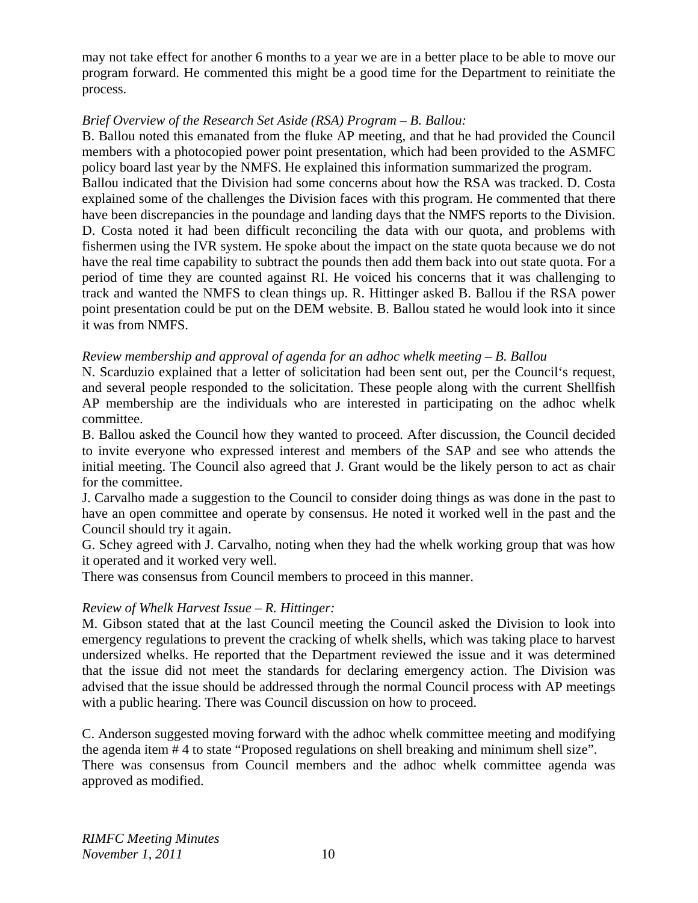may not take effect for another 6 months to a year we are in a better place to be able to move our program forward. He commented this might be a good time for the Department to reinitiate the process.

### *Brief Overview of the Research Set Aside (RSA) Program – B. Ballou:*

B. Ballou noted this emanated from the fluke AP meeting, and that he had provided the Council members with a photocopied power point presentation, which had been provided to the ASMFC policy board last year by the NMFS. He explained this information summarized the program. Ballou indicated that the Division had some concerns about how the RSA was tracked. D. Costa explained some of the challenges the Division faces with this program. He commented that there have been discrepancies in the poundage and landing days that the NMFS reports to the Division. D. Costa noted it had been difficult reconciling the data with our quota, and problems with fishermen using the IVR system. He spoke about the impact on the state quota because we do not have the real time capability to subtract the pounds then add them back into out state quota. For a period of time they are counted against RI. He voiced his concerns that it was challenging to track and wanted the NMFS to clean things up. R. Hittinger asked B. Ballou if the RSA power point presentation could be put on the DEM website. B. Ballou stated he would look into it since it was from NMFS.

#### *Review membership and approval of agenda for an adhoc whelk meeting – B. Ballou*

N. Scarduzio explained that a letter of solicitation had been sent out, per the Council's request, and several people responded to the solicitation. These people along with the current Shellfish AP membership are the individuals who are interested in participating on the adhoc whelk committee.

B. Ballou asked the Council how they wanted to proceed. After discussion, the Council decided to invite everyone who expressed interest and members of the SAP and see who attends the initial meeting. The Council also agreed that J. Grant would be the likely person to act as chair for the committee.

J. Carvalho made a suggestion to the Council to consider doing things as was done in the past to have an open committee and operate by consensus. He noted it worked well in the past and the Council should try it again.

G. Schey agreed with J. Carvalho, noting when they had the whelk working group that was how it operated and it worked very well.

There was consensus from Council members to proceed in this manner.

# *Review of Whelk Harvest Issue – R. Hittinger:*

M. Gibson stated that at the last Council meeting the Council asked the Division to look into emergency regulations to prevent the cracking of whelk shells, which was taking place to harvest undersized whelks. He reported that the Department reviewed the issue and it was determined that the issue did not meet the standards for declaring emergency action. The Division was advised that the issue should be addressed through the normal Council process with AP meetings with a public hearing. There was Council discussion on how to proceed.

C. Anderson suggested moving forward with the adhoc whelk committee meeting and modifying the agenda item # 4 to state "Proposed regulations on shell breaking and minimum shell size". There was consensus from Council members and the adhoc whelk committee agenda was approved as modified.